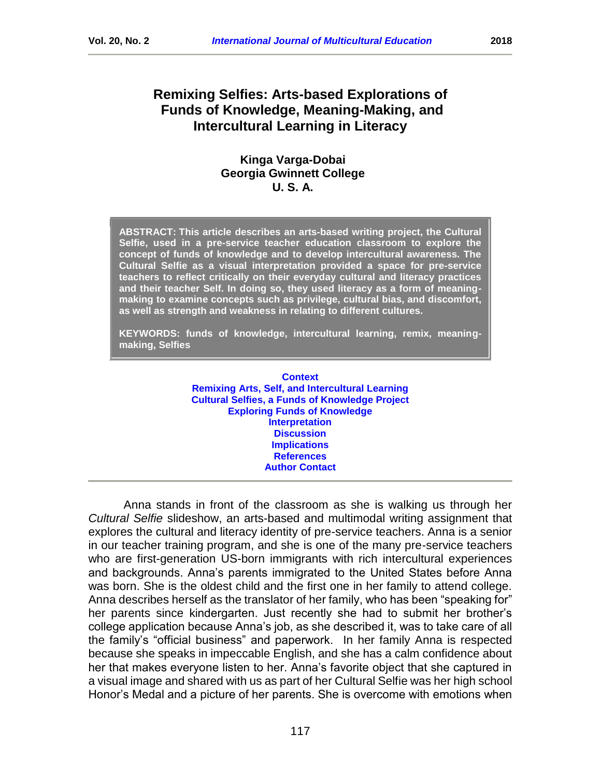# **Kinga Varga-Dobai**

## **Georgia Gwinnett College U. S. A.**

**ABSTRACT: This article describes an arts-based writing project, the Cultural Selfie, used in a pre-service teacher education classroom to explore the concept of funds of knowledge and to develop intercultural awareness. The Cultural Selfie as a visual interpretation provided a space for pre-service teachers to reflect critically on their everyday cultural and literacy practices and their teacher Self. In doing so, they used literacy as a form of meaningmaking to examine concepts such as privilege, cultural bias, and discomfort, as well as strength and weakness in relating to different cultures.**

**KEYWORDS: funds of knowledge, intercultural learning, remix, meaningmaking, Selfies**

> **[Context](#page-1-0) Remixing [Arts, Self, and Intercultural Learning](#page-2-0) [Cultural Selfies, a Funds of Knowledge](#page-4-0) Project [Exploring Funds of Knowledge](#page-5-0) [Interpretation](#page-6-0) [Discussion](#page-10-0) [Implications](#page-11-0) [References](#page-12-0) [Author Contact](#page-14-0)**

Anna stands in front of the classroom as she is walking us through her *Cultural Selfie* slideshow, an arts-based and multimodal writing assignment that explores the cultural and literacy identity of pre-service teachers. Anna is a senior in our teacher training program, and she is one of the many pre-service teachers who are first-generation US-born immigrants with rich intercultural experiences and backgrounds. Anna's parents immigrated to the United States before Anna was born. She is the oldest child and the first one in her family to attend college. Anna describes herself as the translator of her family, who has been "speaking for" her parents since kindergarten. Just recently she had to submit her brother's college application because Anna's job, as she described it, was to take care of all the family's "official business" and paperwork. In her family Anna is respected because she speaks in impeccable English, and she has a calm confidence about her that makes everyone listen to her. Anna's favorite object that she captured in a visual image and shared with us as part of her Cultural Selfie was her high school Honor's Medal and a picture of her parents. She is overcome with emotions when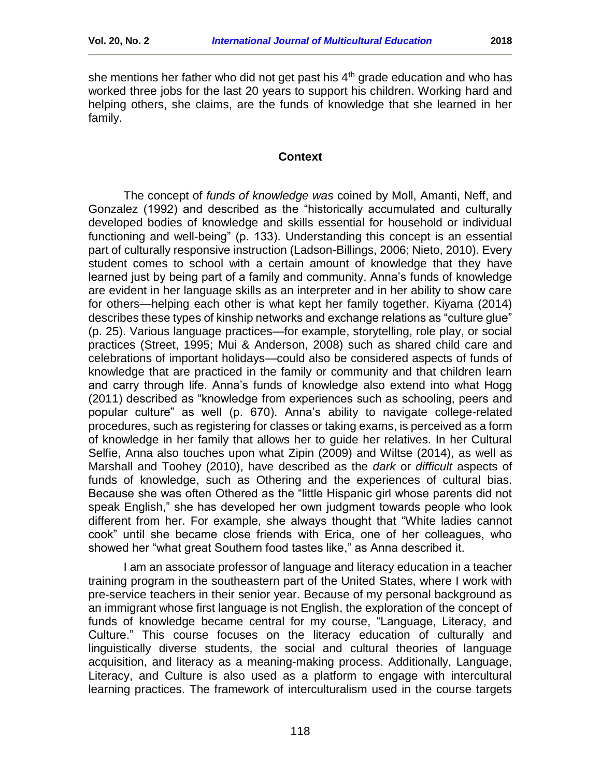she mentions her father who did not get past his  $4<sup>th</sup>$  grade education and who has worked three jobs for the last 20 years to support his children. Working hard and helping others, she claims, are the funds of knowledge that she learned in her family.

#### **Context**

<span id="page-1-0"></span>The concept of *funds of knowledge was* coined by Moll, Amanti, Neff, and Gonzalez (1992) and described as the "historically accumulated and culturally developed bodies of knowledge and skills essential for household or individual functioning and well-being" (p. 133). Understanding this concept is an essential part of culturally responsive instruction (Ladson-Billings, 2006; Nieto, 2010). Every student comes to school with a certain amount of knowledge that they have learned just by being part of a family and community. Anna's funds of knowledge are evident in her language skills as an interpreter and in her ability to show care for others—helping each other is what kept her family together. Kiyama (2014) describes these types of kinship networks and exchange relations as "culture glue" (p. 25). Various language practices—for example, storytelling, role play, or social practices (Street, 1995; Mui & Anderson, 2008) such as shared child care and celebrations of important holidays—could also be considered aspects of funds of knowledge that are practiced in the family or community and that children learn and carry through life. Anna's funds of knowledge also extend into what Hogg (2011) described as "knowledge from experiences such as schooling, peers and popular culture" as well (p. 670). Anna's ability to navigate college-related procedures, such as registering for classes or taking exams, is perceived as a form of knowledge in her family that allows her to guide her relatives. In her Cultural Selfie, Anna also touches upon what Zipin (2009) and Wiltse (2014), as well as Marshall and Toohey (2010), have described as the *dark* or *difficult* aspects of funds of knowledge, such as Othering and the experiences of cultural bias. Because she was often Othered as the "little Hispanic girl whose parents did not speak English," she has developed her own judgment towards people who look different from her. For example, she always thought that "White ladies cannot cook" until she became close friends with Erica, one of her colleagues, who showed her "what great Southern food tastes like," as Anna described it.

I am an associate professor of language and literacy education in a teacher training program in the southeastern part of the United States, where I work with pre-service teachers in their senior year. Because of my personal background as an immigrant whose first language is not English, the exploration of the concept of funds of knowledge became central for my course, "Language, Literacy, and Culture." This course focuses on the literacy education of culturally and linguistically diverse students, the social and cultural theories of language acquisition, and literacy as a meaning-making process. Additionally, Language, Literacy, and Culture is also used as a platform to engage with intercultural learning practices. The framework of interculturalism used in the course targets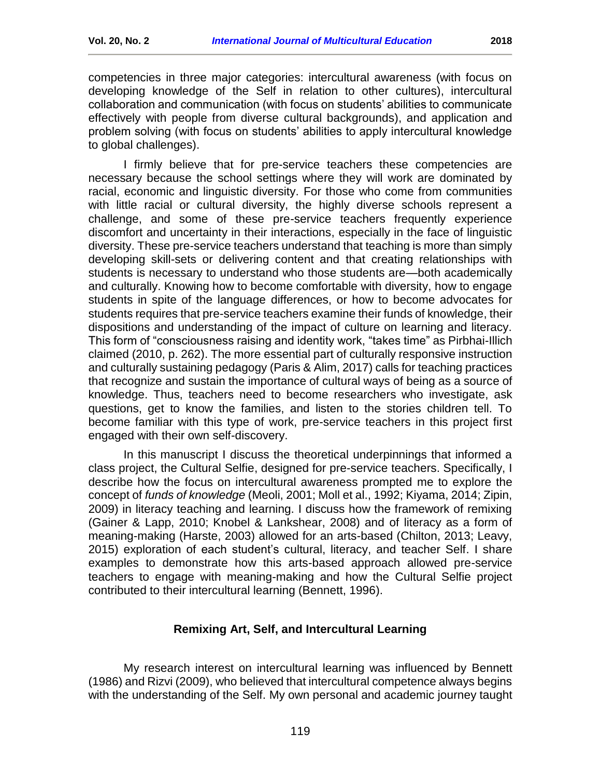competencies in three major categories: intercultural awareness (with focus on developing knowledge of the Self in relation to other cultures), intercultural collaboration and communication (with focus on students' abilities to communicate effectively with people from diverse cultural backgrounds), and application and problem solving (with focus on students' abilities to apply intercultural knowledge to global challenges).

I firmly believe that for pre-service teachers these competencies are necessary because the school settings where they will work are dominated by racial, economic and linguistic diversity. For those who come from communities with little racial or cultural diversity, the highly diverse schools represent a challenge, and some of these pre-service teachers frequently experience discomfort and uncertainty in their interactions, especially in the face of linguistic diversity. These pre-service teachers understand that teaching is more than simply developing skill-sets or delivering content and that creating relationships with students is necessary to understand who those students are—both academically and culturally. Knowing how to become comfortable with diversity, how to engage students in spite of the language differences, or how to become advocates for students requires that pre-service teachers examine their funds of knowledge, their dispositions and understanding of the impact of culture on learning and literacy. This form of "consciousness raising and identity work, "takes time" as Pirbhai-Illich claimed (2010, p. 262). The more essential part of culturally responsive instruction and culturally sustaining pedagogy (Paris & Alim, 2017) calls for teaching practices that recognize and sustain the importance of cultural ways of being as a source of knowledge. Thus, teachers need to become researchers who investigate, ask questions, get to know the families, and listen to the stories children tell. To become familiar with this type of work, pre-service teachers in this project first engaged with their own self-discovery.

In this manuscript I discuss the theoretical underpinnings that informed a class project, the Cultural Selfie, designed for pre-service teachers. Specifically, I describe how the focus on intercultural awareness prompted me to explore the concept of *funds of knowledge* (Meoli, 2001; Moll et al., 1992; Kiyama, 2014; Zipin, 2009) in literacy teaching and learning. I discuss how the framework of remixing (Gainer & Lapp, 2010; Knobel & Lankshear, 2008) and of literacy as a form of meaning-making (Harste, 2003) allowed for an arts-based (Chilton, 2013; Leavy, 2015) exploration of each student's cultural, literacy, and teacher Self. I share examples to demonstrate how this arts-based approach allowed pre-service teachers to engage with meaning-making and how the Cultural Selfie project contributed to their intercultural learning (Bennett, 1996).

## **Remixing Art, Self, and Intercultural Learning**

<span id="page-2-0"></span>My research interest on intercultural learning was influenced by Bennett (1986) and Rizvi (2009), who believed that intercultural competence always begins with the understanding of the Self. My own personal and academic journey taught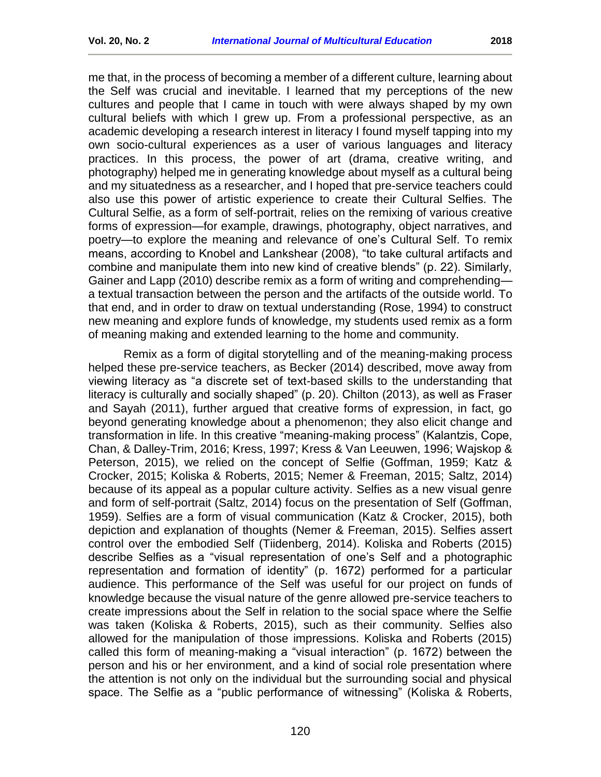me that, in the process of becoming a member of a different culture, learning about the Self was crucial and inevitable. I learned that my perceptions of the new cultures and people that I came in touch with were always shaped by my own cultural beliefs with which I grew up. From a professional perspective, as an academic developing a research interest in literacy I found myself tapping into my own socio-cultural experiences as a user of various languages and literacy practices. In this process, the power of art (drama, creative writing, and photography) helped me in generating knowledge about myself as a cultural being and my situatedness as a researcher, and I hoped that pre-service teachers could also use this power of artistic experience to create their Cultural Selfies. The Cultural Selfie, as a form of self-portrait, relies on the remixing of various creative forms of expression—for example, drawings, photography, object narratives, and poetry—to explore the meaning and relevance of one's Cultural Self. To remix means, according to Knobel and Lankshear (2008), "to take cultural artifacts and combine and manipulate them into new kind of creative blends" (p. 22). Similarly, Gainer and Lapp (2010) describe remix as a form of writing and comprehending a textual transaction between the person and the artifacts of the outside world. To that end, and in order to draw on textual understanding (Rose, 1994) to construct new meaning and explore funds of knowledge, my students used remix as a form of meaning making and extended learning to the home and community.

Remix as a form of digital storytelling and of the meaning-making process helped these pre-service teachers, as Becker (2014) described, move away from viewing literacy as "a discrete set of text-based skills to the understanding that literacy is culturally and socially shaped" (p. 20). Chilton (2013), as well as Fraser and Sayah (2011), further argued that creative forms of expression, in fact, go beyond generating knowledge about a phenomenon; they also elicit change and transformation in life. In this creative "meaning-making process" (Kalantzis, Cope, Chan, & Dalley-Trim, 2016; Kress, 1997; Kress & Van Leeuwen, 1996; Wajskop & Peterson, 2015), we relied on the concept of Selfie (Goffman, 1959; Katz & Crocker, 2015; Koliska & Roberts, 2015; Nemer & Freeman, 2015; Saltz, 2014) because of its appeal as a popular culture activity. Selfies as a new visual genre and form of self-portrait (Saltz, 2014) focus on the presentation of Self (Goffman, 1959). Selfies are a form of visual communication (Katz & Crocker, 2015), both depiction and explanation of thoughts (Nemer & Freeman, 2015). Selfies assert control over the embodied Self (Tiidenberg, 2014). Koliska and Roberts (2015) describe Selfies as a "visual representation of one's Self and a photographic representation and formation of identity" (p. 1672) performed for a particular audience. This performance of the Self was useful for our project on funds of knowledge because the visual nature of the genre allowed pre-service teachers to create impressions about the Self in relation to the social space where the Selfie was taken (Koliska & Roberts, 2015), such as their community. Selfies also allowed for the manipulation of those impressions. Koliska and Roberts (2015) called this form of meaning-making a "visual interaction" (p. 1672) between the person and his or her environment, and a kind of social role presentation where the attention is not only on the individual but the surrounding social and physical space. The Selfie as a "public performance of witnessing" (Koliska & Roberts,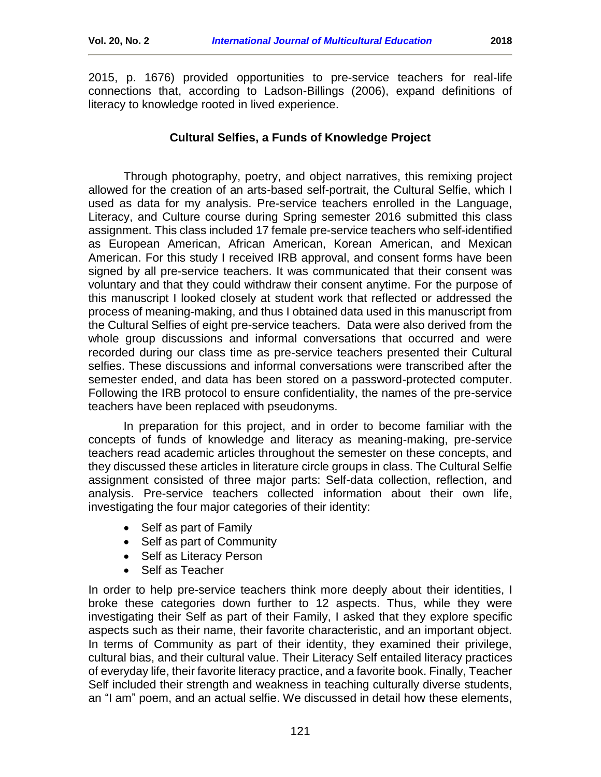2015, p. 1676) provided opportunities to pre-service teachers for real-life connections that, according to Ladson-Billings (2006), expand definitions of literacy to knowledge rooted in lived experience.

## **Cultural Selfies, a Funds of Knowledge Project**

<span id="page-4-0"></span>Through photography, poetry, and object narratives, this remixing project allowed for the creation of an arts-based self-portrait, the Cultural Selfie, which I used as data for my analysis. Pre-service teachers enrolled in the Language, Literacy, and Culture course during Spring semester 2016 submitted this class assignment. This class included 17 female pre-service teachers who self-identified as European American, African American, Korean American, and Mexican American. For this study I received IRB approval, and consent forms have been signed by all pre-service teachers. It was communicated that their consent was voluntary and that they could withdraw their consent anytime. For the purpose of this manuscript I looked closely at student work that reflected or addressed the process of meaning-making, and thus I obtained data used in this manuscript from the Cultural Selfies of eight pre-service teachers. Data were also derived from the whole group discussions and informal conversations that occurred and were recorded during our class time as pre-service teachers presented their Cultural selfies. These discussions and informal conversations were transcribed after the semester ended, and data has been stored on a password-protected computer. Following the IRB protocol to ensure confidentiality, the names of the pre-service teachers have been replaced with pseudonyms.

In preparation for this project, and in order to become familiar with the concepts of funds of knowledge and literacy as meaning-making, pre-service teachers read academic articles throughout the semester on these concepts, and they discussed these articles in literature circle groups in class. The Cultural Selfie assignment consisted of three major parts: Self-data collection, reflection, and analysis. Pre-service teachers collected information about their own life, investigating the four major categories of their identity:

- Self as part of Family
- Self as part of Community
- Self as Literacy Person
- Self as Teacher

In order to help pre-service teachers think more deeply about their identities, I broke these categories down further to 12 aspects. Thus, while they were investigating their Self as part of their Family, I asked that they explore specific aspects such as their name, their favorite characteristic, and an important object. In terms of Community as part of their identity, they examined their privilege, cultural bias, and their cultural value. Their Literacy Self entailed literacy practices of everyday life, their favorite literacy practice, and a favorite book. Finally, Teacher Self included their strength and weakness in teaching culturally diverse students, an "I am" poem, and an actual selfie. We discussed in detail how these elements,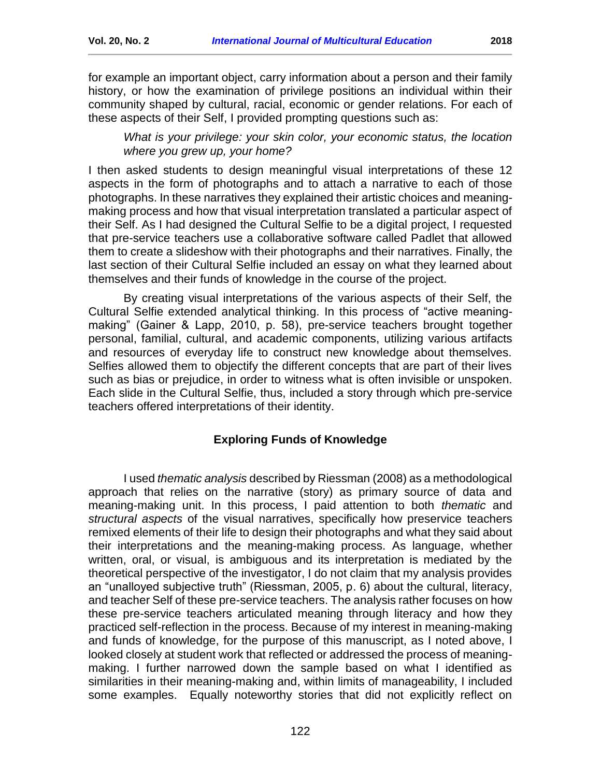for example an important object, carry information about a person and their family history, or how the examination of privilege positions an individual within their community shaped by cultural, racial, economic or gender relations. For each of these aspects of their Self, I provided prompting questions such as:

*What is your privilege: your skin color, your economic status, the location where you grew up, your home?* 

I then asked students to design meaningful visual interpretations of these 12 aspects in the form of photographs and to attach a narrative to each of those photographs. In these narratives they explained their artistic choices and meaningmaking process and how that visual interpretation translated a particular aspect of their Self. As I had designed the Cultural Selfie to be a digital project, I requested that pre-service teachers use a collaborative software called Padlet that allowed them to create a slideshow with their photographs and their narratives. Finally, the last section of their Cultural Selfie included an essay on what they learned about themselves and their funds of knowledge in the course of the project.

By creating visual interpretations of the various aspects of their Self, the Cultural Selfie extended analytical thinking. In this process of "active meaningmaking" (Gainer & Lapp, 2010, p. 58), pre-service teachers brought together personal, familial, cultural, and academic components, utilizing various artifacts and resources of everyday life to construct new knowledge about themselves. Selfies allowed them to objectify the different concepts that are part of their lives such as bias or prejudice, in order to witness what is often invisible or unspoken. Each slide in the Cultural Selfie, thus, included a story through which pre-service teachers offered interpretations of their identity.

## **Exploring Funds of Knowledge**

<span id="page-5-0"></span>I used *thematic analysis* described by Riessman (2008) as a methodological approach that relies on the narrative (story) as primary source of data and meaning-making unit. In this process, I paid attention to both *thematic* and *structural aspects* of the visual narratives, specifically how preservice teachers remixed elements of their life to design their photographs and what they said about their interpretations and the meaning-making process. As language, whether written, oral, or visual, is ambiguous and its interpretation is mediated by the theoretical perspective of the investigator, I do not claim that my analysis provides an "unalloyed subjective truth" (Riessman, 2005, p. 6) about the cultural, literacy, and teacher Self of these pre-service teachers. The analysis rather focuses on how these pre-service teachers articulated meaning through literacy and how they practiced self-reflection in the process. Because of my interest in meaning-making and funds of knowledge, for the purpose of this manuscript, as I noted above, I looked closely at student work that reflected or addressed the process of meaningmaking. I further narrowed down the sample based on what I identified as similarities in their meaning-making and, within limits of manageability, I included some examples. Equally noteworthy stories that did not explicitly reflect on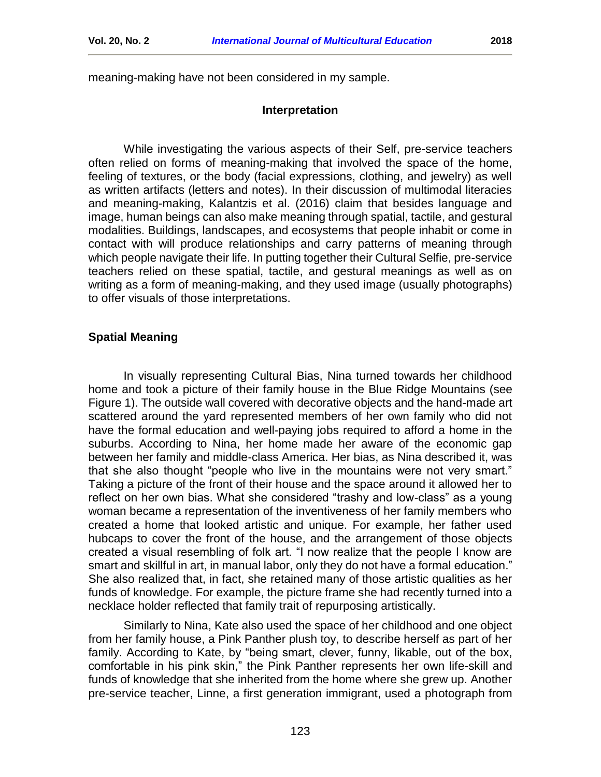<span id="page-6-0"></span>meaning-making have not been considered in my sample.

## **Interpretation**

While investigating the various aspects of their Self, pre-service teachers often relied on forms of meaning-making that involved the space of the home, feeling of textures, or the body (facial expressions, clothing, and jewelry) as well as written artifacts (letters and notes). In their discussion of multimodal literacies and meaning-making, Kalantzis et al. (2016) claim that besides language and image, human beings can also make meaning through spatial, tactile, and gestural modalities. Buildings, landscapes, and ecosystems that people inhabit or come in contact with will produce relationships and carry patterns of meaning through which people navigate their life. In putting together their Cultural Selfie, pre-service teachers relied on these spatial, tactile, and gestural meanings as well as on writing as a form of meaning-making, and they used image (usually photographs) to offer visuals of those interpretations.

## **Spatial Meaning**

In visually representing Cultural Bias, Nina turned towards her childhood home and took a picture of their family house in the Blue Ridge Mountains (see Figure 1). The outside wall covered with decorative objects and the hand-made art scattered around the yard represented members of her own family who did not have the formal education and well-paying jobs required to afford a home in the suburbs. According to Nina, her home made her aware of the economic gap between her family and middle-class America. Her bias, as Nina described it, was that she also thought "people who live in the mountains were not very smart." Taking a picture of the front of their house and the space around it allowed her to reflect on her own bias. What she considered "trashy and low-class" as a young woman became a representation of the inventiveness of her family members who created a home that looked artistic and unique. For example, her father used hubcaps to cover the front of the house, and the arrangement of those objects created a visual resembling of folk art. "I now realize that the people I know are smart and skillful in art, in manual labor, only they do not have a formal education." She also realized that, in fact, she retained many of those artistic qualities as her funds of knowledge. For example, the picture frame she had recently turned into a necklace holder reflected that family trait of repurposing artistically.

Similarly to Nina, Kate also used the space of her childhood and one object from her family house, a Pink Panther plush toy, to describe herself as part of her family. According to Kate, by "being smart, clever, funny, likable, out of the box, comfortable in his pink skin," the Pink Panther represents her own life-skill and funds of knowledge that she inherited from the home where she grew up. Another pre-service teacher, Linne, a first generation immigrant, used a photograph from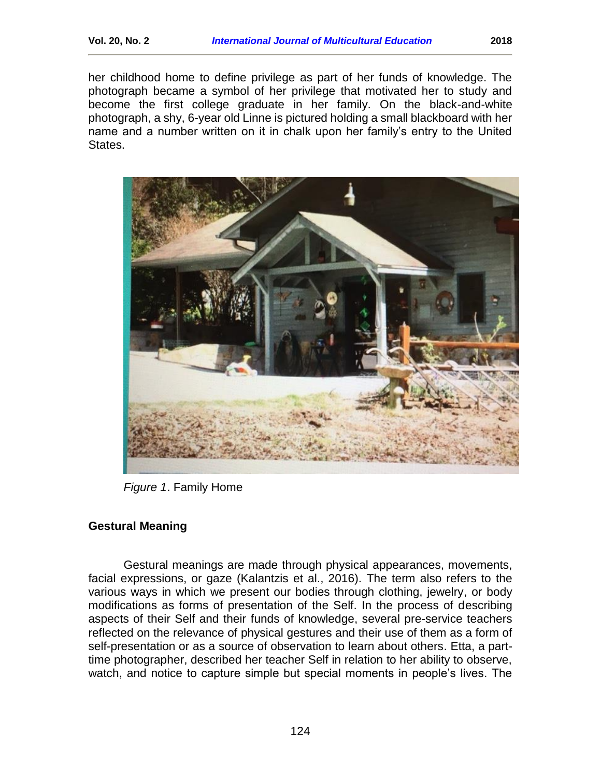her childhood home to define privilege as part of her funds of knowledge. The photograph became a symbol of her privilege that motivated her to study and become the first college graduate in her family. On the black-and-white photograph, a shy, 6-year old Linne is pictured holding a small blackboard with her name and a number written on it in chalk upon her family's entry to the United States.



*Figure 1*. Family Home

## **Gestural Meaning**

Gestural meanings are made through physical appearances, movements, facial expressions, or gaze (Kalantzis et al., 2016). The term also refers to the various ways in which we present our bodies through clothing, jewelry, or body modifications as forms of presentation of the Self. In the process of describing aspects of their Self and their funds of knowledge, several pre-service teachers reflected on the relevance of physical gestures and their use of them as a form of self-presentation or as a source of observation to learn about others. Etta, a parttime photographer, described her teacher Self in relation to her ability to observe, watch, and notice to capture simple but special moments in people's lives. The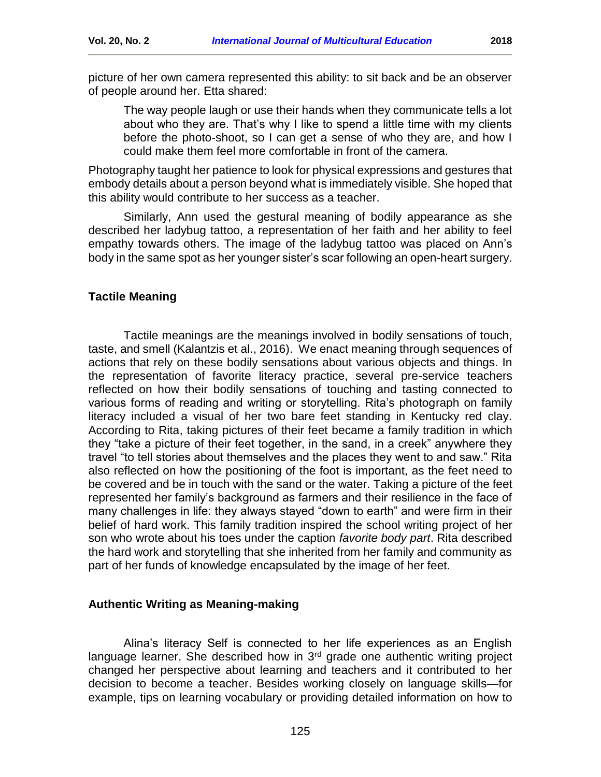picture of her own camera represented this ability: to sit back and be an observer of people around her. Etta shared:

The way people laugh or use their hands when they communicate tells a lot about who they are. That's why I like to spend a little time with my clients before the photo-shoot, so I can get a sense of who they are, and how I could make them feel more comfortable in front of the camera.

Photography taught her patience to look for physical expressions and gestures that embody details about a person beyond what is immediately visible. She hoped that this ability would contribute to her success as a teacher.

Similarly, Ann used the gestural meaning of bodily appearance as she described her ladybug tattoo, a representation of her faith and her ability to feel empathy towards others. The image of the ladybug tattoo was placed on Ann's body in the same spot as her younger sister's scar following an open-heart surgery.

## **Tactile Meaning**

Tactile meanings are the meanings involved in bodily sensations of touch, taste, and smell (Kalantzis et al., 2016). We enact meaning through sequences of actions that rely on these bodily sensations about various objects and things. In the representation of favorite literacy practice, several pre-service teachers reflected on how their bodily sensations of touching and tasting connected to various forms of reading and writing or storytelling. Rita's photograph on family literacy included a visual of her two bare feet standing in Kentucky red clay. According to Rita, taking pictures of their feet became a family tradition in which they "take a picture of their feet together, in the sand, in a creek" anywhere they travel "to tell stories about themselves and the places they went to and saw." Rita also reflected on how the positioning of the foot is important, as the feet need to be covered and be in touch with the sand or the water. Taking a picture of the feet represented her family's background as farmers and their resilience in the face of many challenges in life: they always stayed "down to earth" and were firm in their belief of hard work. This family tradition inspired the school writing project of her son who wrote about his toes under the caption *favorite body part*. Rita described the hard work and storytelling that she inherited from her family and community as part of her funds of knowledge encapsulated by the image of her feet.

## **Authentic Writing as Meaning-making**

Alina's literacy Self is connected to her life experiences as an English language learner. She described how in  $3<sup>rd</sup>$  grade one authentic writing project changed her perspective about learning and teachers and it contributed to her decision to become a teacher. Besides working closely on language skills—for example, tips on learning vocabulary or providing detailed information on how to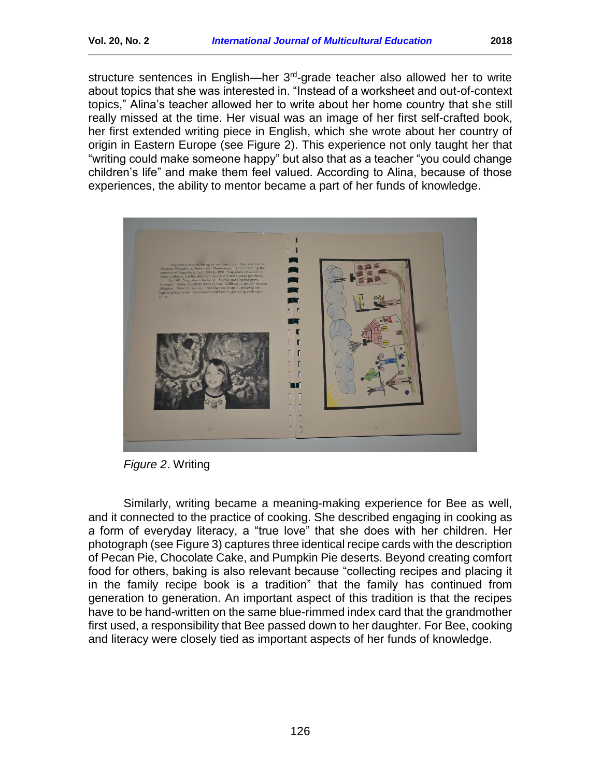structure sentences in English—her 3<sup>rd</sup>-grade teacher also allowed her to write about topics that she was interested in. "Instead of a worksheet and out-of-context topics," Alina's teacher allowed her to write about her home country that she still really missed at the time. Her visual was an image of her first self-crafted book, her first extended writing piece in English, which she wrote about her country of origin in Eastern Europe (see Figure 2). This experience not only taught her that "writing could make someone happy" but also that as a teacher "you could change children's life" and make them feel valued. According to Alina, because of those experiences, the ability to mentor became a part of her funds of knowledge.



*Figure 2*. Writing

Similarly, writing became a meaning-making experience for Bee as well, and it connected to the practice of cooking. She described engaging in cooking as a form of everyday literacy, a "true love" that she does with her children. Her photograph (see Figure 3) captures three identical recipe cards with the description of Pecan Pie, Chocolate Cake, and Pumpkin Pie deserts. Beyond creating comfort food for others, baking is also relevant because "collecting recipes and placing it in the family recipe book is a tradition" that the family has continued from generation to generation. An important aspect of this tradition is that the recipes have to be hand-written on the same blue-rimmed index card that the grandmother first used, a responsibility that Bee passed down to her daughter. For Bee, cooking and literacy were closely tied as important aspects of her funds of knowledge.

126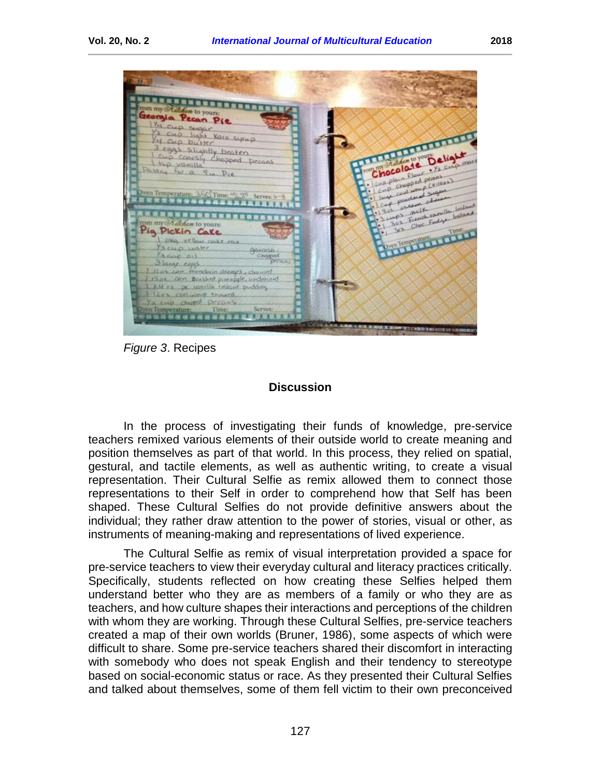

*Figure 3*. Recipes

## **Discussion**

<span id="page-10-0"></span>In the process of investigating their funds of knowledge, pre-service teachers remixed various elements of their outside world to create meaning and position themselves as part of that world. In this process, they relied on spatial, gestural, and tactile elements, as well as authentic writing, to create a visual representation. Their Cultural Selfie as remix allowed them to connect those representations to their Self in order to comprehend how that Self has been shaped. These Cultural Selfies do not provide definitive answers about the individual; they rather draw attention to the power of stories, visual or other, as instruments of meaning-making and representations of lived experience.

The Cultural Selfie as remix of visual interpretation provided a space for pre-service teachers to view their everyday cultural and literacy practices critically. Specifically, students reflected on how creating these Selfies helped them understand better who they are as members of a family or who they are as teachers, and how culture shapes their interactions and perceptions of the children with whom they are working. Through these Cultural Selfies, pre-service teachers created a map of their own worlds (Bruner, 1986), some aspects of which were difficult to share. Some pre-service teachers shared their discomfort in interacting with somebody who does not speak English and their tendency to stereotype based on social-economic status or race. As they presented their Cultural Selfies and talked about themselves, some of them fell victim to their own preconceived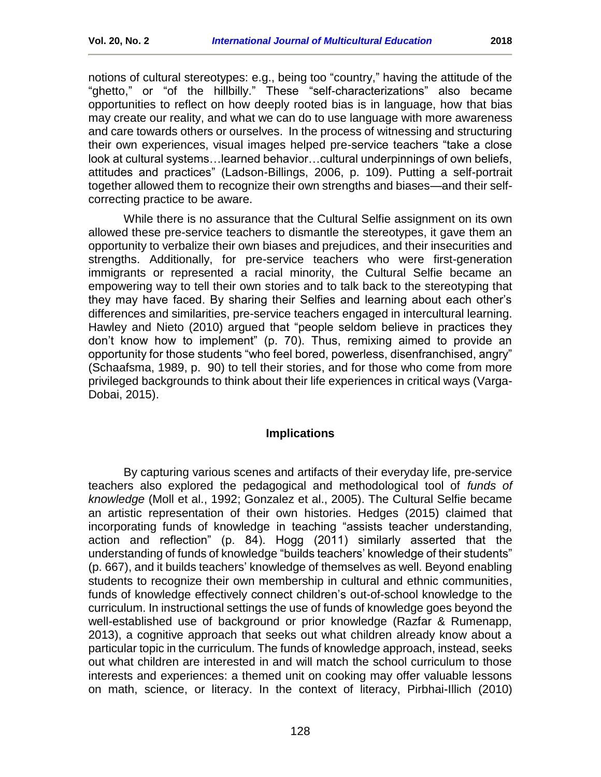notions of cultural stereotypes: e.g., being too "country," having the attitude of the "ghetto," or "of the hillbilly." These "self-characterizations" also became opportunities to reflect on how deeply rooted bias is in language, how that bias may create our reality, and what we can do to use language with more awareness and care towards others or ourselves. In the process of witnessing and structuring their own experiences, visual images helped pre-service teachers "take a close look at cultural systems…learned behavior…cultural underpinnings of own beliefs, attitudes and practices" (Ladson-Billings, 2006, p. 109). Putting a self-portrait together allowed them to recognize their own strengths and biases—and their selfcorrecting practice to be aware.

While there is no assurance that the Cultural Selfie assignment on its own allowed these pre-service teachers to dismantle the stereotypes, it gave them an opportunity to verbalize their own biases and prejudices, and their insecurities and strengths. Additionally, for pre-service teachers who were first-generation immigrants or represented a racial minority, the Cultural Selfie became an empowering way to tell their own stories and to talk back to the stereotyping that they may have faced. By sharing their Selfies and learning about each other's differences and similarities, pre-service teachers engaged in intercultural learning. Hawley and Nieto (2010) argued that "people seldom believe in practices they don't know how to implement" (p. 70). Thus, remixing aimed to provide an opportunity for those students "who feel bored, powerless, disenfranchised, angry" (Schaafsma, 1989, p. 90) to tell their stories, and for those who come from more privileged backgrounds to think about their life experiences in critical ways (Varga-Dobai, 2015).

## **Implications**

<span id="page-11-0"></span>By capturing various scenes and artifacts of their everyday life, pre-service teachers also explored the pedagogical and methodological tool of *funds of knowledge* (Moll et al., 1992; Gonzalez et al., 2005). The Cultural Selfie became an artistic representation of their own histories. Hedges (2015) claimed that incorporating funds of knowledge in teaching "assists teacher understanding, action and reflection" (p. 84). Hogg (2011) similarly asserted that the understanding of funds of knowledge "builds teachers' knowledge of their students" (p. 667), and it builds teachers' knowledge of themselves as well. Beyond enabling students to recognize their own membership in cultural and ethnic communities, funds of knowledge effectively connect children's out-of-school knowledge to the curriculum. In instructional settings the use of funds of knowledge goes beyond the well-established use of background or prior knowledge (Razfar & Rumenapp, 2013), a cognitive approach that seeks out what children already know about a particular topic in the curriculum. The funds of knowledge approach, instead, seeks out what children are interested in and will match the school curriculum to those interests and experiences: a themed unit on cooking may offer valuable lessons on math, science, or literacy. In the context of literacy, Pirbhai-Illich (2010)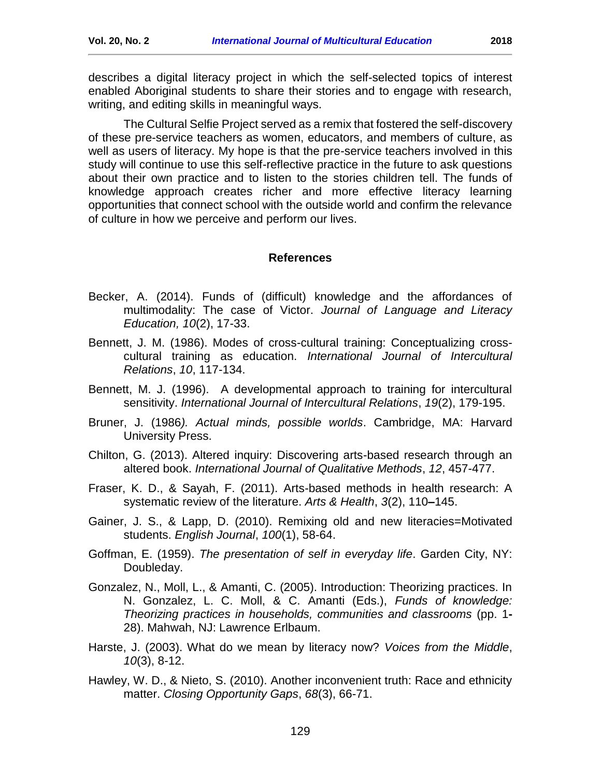writing, and editing skills in meaningful ways.

The Cultural Selfie Project served as a remix that fostered the self-discovery of these pre-service teachers as women, educators, and members of culture, as well as users of literacy. My hope is that the pre-service teachers involved in this study will continue to use this self-reflective practice in the future to ask questions about their own practice and to listen to the stories children tell. The funds of knowledge approach creates richer and more effective literacy learning opportunities that connect school with the outside world and confirm the relevance of culture in how we perceive and perform our lives.

## **References**

- <span id="page-12-0"></span>Becker, A. (2014). Funds of (difficult) knowledge and the affordances of multimodality: The case of Victor. *Journal of Language and Literacy Education, 10*(2), 17-33.
- Bennett, J. M. (1986). Modes of cross-cultural training: Conceptualizing crosscultural training as education. *International Journal of Intercultural Relations*, *10*, 117-134.
- Bennett, M. J. (1996). A developmental approach to training for intercultural sensitivity. *International Journal of Intercultural Relations*, *19*(2), 179-195.
- Bruner, J. (1986*). Actual minds, possible worlds*. Cambridge, MA: Harvard University Press.
- Chilton, G. (2013). Altered inquiry: Discovering arts-based research through an altered book. *International Journal of Qualitative Methods*, *12*, 457-477.
- Fraser, K. D., & Sayah, F. (2011). Arts-based methods in health research: A systematic review of the literature. *Arts & Health*, *3*(2), 110**–**145.
- Gainer, J. S., & Lapp, D. (2010). Remixing old and new literacies=Motivated students. *English Journal*, *100*(1), 58-64.
- Goffman, E. (1959). *The presentation of self in everyday life*. Garden City, NY: Doubleday.
- Gonzalez, N., Moll, L., & Amanti, C. (2005). Introduction: Theorizing practices. In N. Gonzalez, L. C. Moll, & C. Amanti (Eds.), *Funds of knowledge: Theorizing practices in households, communities and classrooms* (pp. 1**-** 28). Mahwah, NJ: Lawrence Erlbaum.
- Harste, J. (2003). What do we mean by literacy now? *Voices from the Middle*, *10*(3), 8-12.
- Hawley, W. D., & Nieto, S. (2010). Another inconvenient truth: Race and ethnicity matter. *Closing Opportunity Gaps*, *68*(3), 66-71.

129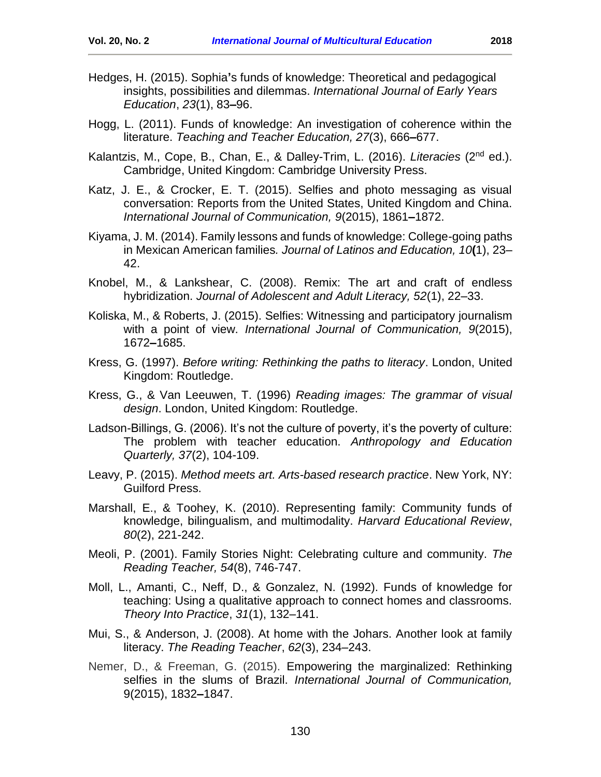- Hedges, H. (2015). Sophia**'**s funds of knowledge: Theoretical and pedagogical insights, possibilities and dilemmas. *International Journal of Early Years Education*, *23*(1), 83**–**96.
- Hogg, L. (2011). Funds of knowledge: An investigation of coherence within the literature. *Teaching and Teacher Education, 27*(3), 666**–**677.
- Kalantzis, M., Cope, B., Chan, E., & Dalley-Trim, L. (2016). *Literacies* (2nd ed.). Cambridge, United Kingdom: Cambridge University Press.
- Katz, J. E., & Crocker, E. T. (2015). Selfies and photo messaging as visual conversation: Reports from the United States, United Kingdom and China. *International Journal of Communication, 9*(2015), 1861**–**1872.
- Kiyama, J. M. (2014). Family lessons and funds of knowledge: College-going paths in Mexican American families*. Journal of Latinos and Education, 10***(**1), 23– 42.
- Knobel, M., & Lankshear, C. (2008). Remix: The art and craft of endless hybridization. *Journal of Adolescent and Adult Literacy, 52*(1), 22–33.
- Koliska, M., & Roberts, J. (2015). Selfies: Witnessing and participatory journalism with a point of view. *International Journal of Communication, 9*(2015), 1672**–**1685.
- Kress, G. (1997). *Before writing: Rethinking the paths to literacy*. London, United Kingdom: Routledge.
- Kress, G., & Van Leeuwen, T. (1996) *Reading images: The grammar of visual design*. London, United Kingdom: Routledge.
- Ladson-Billings, G. (2006). It's not the culture of poverty, it's the poverty of culture: The problem with teacher education. *Anthropology and Education Quarterly, 37*(2), 104-109.
- Leavy, P. (2015). *Method meets art. Arts-based research practice*. New York, NY: Guilford Press.
- Marshall, E., & Toohey, K. (2010). Representing family: Community funds of knowledge, bilingualism, and multimodality. *Harvard Educational Review*, *80*(2), 221-242.
- Meoli, P. (2001). Family Stories Night: Celebrating culture and community. *The Reading Teacher, 54*(8), 746-747.
- Moll, L., Amanti, C., Neff, D., & Gonzalez, N. (1992). Funds of knowledge for teaching: Using a qualitative approach to connect homes and classrooms. *Theory Into Practice*, *31*(1), 132–141.
- Mui, S., & Anderson, J. (2008). At home with the Johars. Another look at family literacy. *The Reading Teacher*, *62*(3), 234–243.
- Nemer, D., & Freeman, G. (2015). Empowering the marginalized: Rethinking selfies in the slums of Brazil. *International Journal of Communication,* 9(2015), 1832**–**1847.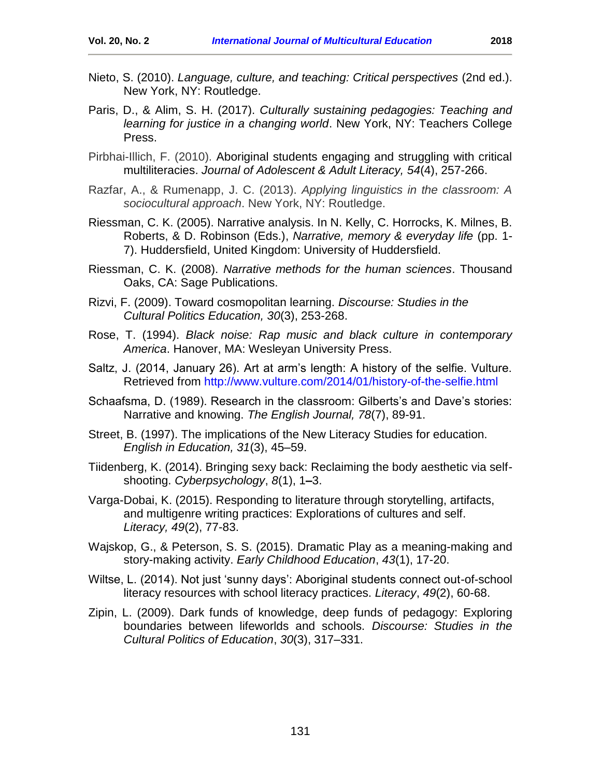- Nieto, S. (2010). *Language, culture, and teaching: Critical perspectives* (2nd ed.). New York, NY: Routledge.
- Paris, D., & Alim, S. H. (2017). *Culturally sustaining pedagogies: Teaching and learning for justice in a changing world*. New York, NY: Teachers College Press.
- Pirbhai-Illich, F. (2010). Aboriginal students engaging and struggling with critical multiliteracies. *Journal of Adolescent & Adult Literacy, 54*(4), 257-266.
- Razfar, A., & Rumenapp, J. C. (2013). *Applying linguistics in the classroom: A sociocultural approach*. New York, NY: Routledge.
- Riessman, C. K. (2005). Narrative analysis. In N. Kelly, C. Horrocks, K. Milnes, B. Roberts, & D. Robinson (Eds.), *Narrative, memory & everyday life* (pp. 1- 7). Huddersfield, United Kingdom: University of Huddersfield.
- Riessman, C. K. (2008). *Narrative methods for the human sciences*. Thousand Oaks, CA: Sage Publications.
- Rizvi, F. (2009). Toward cosmopolitan learning. *Discourse: Studies in the Cultural Politics Education, 30*(3), 253-268.
- Rose, T. (1994). *Black noise: Rap music and black culture in contemporary America*. Hanover, MA: Wesleyan University Press.
- Saltz, J. (2014, January 26). Art at arm's length: A history of the selfie. Vulture. Retrieved from<http://www.vulture.com/2014/01/history-of-the-selfie.html>
- Schaafsma, D. (1989). Research in the classroom: Gilberts's and Dave's stories: Narrative and knowing. *The English Journal, 78*(7), 89-91.
- Street, B. (1997). The implications of the New Literacy Studies for education. *English in Education, 31*(3), 45–59.
- Tiidenberg, K. (2014). Bringing sexy back: Reclaiming the body aesthetic via selfshooting. *Cyberpsychology*, *8*(1), 1**–**3.
- Varga-Dobai, K. (2015). Responding to literature through storytelling, artifacts, and multigenre writing practices: Explorations of cultures and self. *Literacy, 49*(2), 77-83.
- Wajskop, G., & Peterson, S. S. (2015). Dramatic Play as a meaning-making and story-making activity. *Early Childhood Education*, *43*(1), 17-20.
- Wiltse, L. (2014). Not just 'sunny days': Aboriginal students connect out-of-school literacy resources with school literacy practices. *Literacy*, *49*(2), 60-68.
- <span id="page-14-0"></span>Zipin, L. (2009). Dark funds of knowledge, deep funds of pedagogy: Exploring boundaries between lifeworlds and schools. *Discourse: Studies in the Cultural Politics of Education*, *30*(3), 317–331.